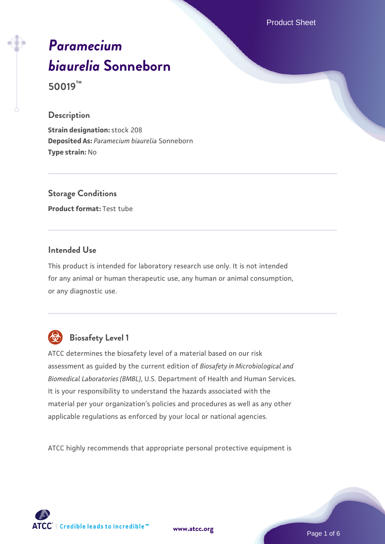Product Sheet

# *[Paramecium](https://www.atcc.org/products/50019) [biaurelia](https://www.atcc.org/products/50019)* **[Sonneborn](https://www.atcc.org/products/50019)**

**50019™**

#### **Description**

**Strain designation:** stock 208 **Deposited As:** *Paramecium biaurelia* Sonneborn **Type strain:** No

**Storage Conditions Product format:** Test tube

## **Intended Use**

This product is intended for laboratory research use only. It is not intended for any animal or human therapeutic use, any human or animal consumption, or any diagnostic use.



# **Biosafety Level 1**

ATCC determines the biosafety level of a material based on our risk assessment as guided by the current edition of *Biosafety in Microbiological and Biomedical Laboratories (BMBL)*, U.S. Department of Health and Human Services. It is your responsibility to understand the hazards associated with the material per your organization's policies and procedures as well as any other applicable regulations as enforced by your local or national agencies.

ATCC highly recommends that appropriate personal protective equipment is

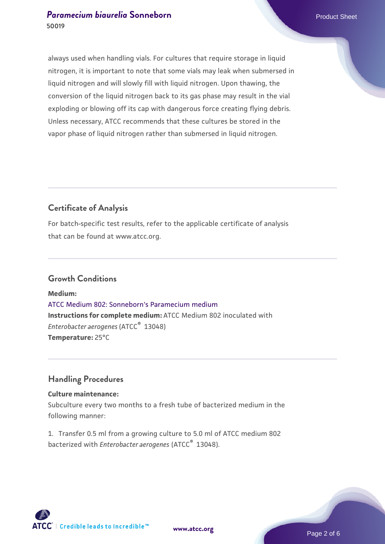always used when handling vials. For cultures that require storage in liquid nitrogen, it is important to note that some vials may leak when submersed in liquid nitrogen and will slowly fill with liquid nitrogen. Upon thawing, the conversion of the liquid nitrogen back to its gas phase may result in the vial exploding or blowing off its cap with dangerous force creating flying debris. Unless necessary, ATCC recommends that these cultures be stored in the vapor phase of liquid nitrogen rather than submersed in liquid nitrogen.

# **Certificate of Analysis**

For batch-specific test results, refer to the applicable certificate of analysis that can be found at www.atcc.org.

#### **Growth Conditions**

**Medium:**  [ATCC Medium 802: Sonneborn's Paramecium medium](https://www.atcc.org/-/media/product-assets/documents/microbial-media-formulations/8/0/2/atcc-medium-802.pdf?rev=73d25dbdd49b44529c8ac49753787d74) **Instructions for complete medium:** ATCC Medium 802 inoculated with *Enterobacter aerogenes* (ATCC® 13048) **Temperature:** 25°C

# **Handling Procedures**

#### **Culture maintenance:**

Subculture every two months to a fresh tube of bacterized medium in the following manner:

1. Transfer 0.5 ml from a growing culture to 5.0 ml of ATCC medium 802 bacterized with *Enterobacter aerogenes* (ATCC® 13048).

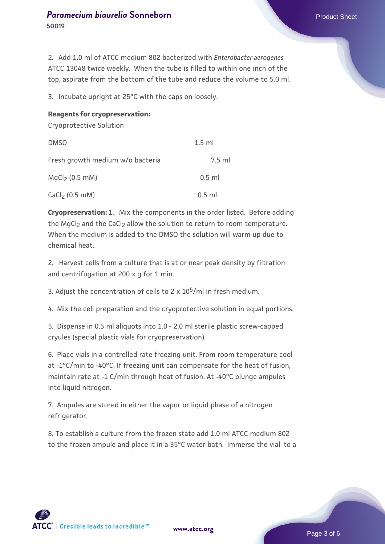2. Add 1.0 ml of ATCC medium 802 bacterized with *Enterobacter aerogenes* ATCC 13048 twice weekly. When the tube is filled to within one inch of the top, aspirate from the bottom of the tube and reduce the volume to 5.0 ml.

3. Incubate upright at 25°C with the caps on loosely.

#### **Reagents for cryopreservation:**

Cryoprotective Solution

| <b>DMSO</b>                      | $1.5$ ml |
|----------------------------------|----------|
| Fresh growth medium w/o bacteria | $7.5$ ml |
| $MqCl2$ (0.5 mM)                 | $0.5$ ml |
| CaCl <sub>2</sub> $(0.5$ mM)     | $0.5$ ml |

**Cryopreservation:** 1. Mix the components in the order listed. Before adding the MgCl<sub>2</sub> and the CaCl<sub>2</sub> allow the solution to return to room temperature. When the medium is added to the DMSO the solution will warm up due to chemical heat.

2. Harvest cells from a culture that is at or near peak density by filtration and centrifugation at 200 x g for 1 min.

3. Adjust the concentration of cells to 2 x  $10^5$ /ml in fresh medium.

4. Mix the cell preparation and the cryoprotective solution in equal portions.

5. Dispense in 0.5 ml aliquots into 1.0 - 2.0 ml sterile plastic screw-capped cryules (special plastic vials for cryopreservation).

6. Place vials in a controlled rate freezing unit. From room temperature cool at -1°C/min to -40°C. If freezing unit can compensate for the heat of fusion, maintain rate at -1 C/min through heat of fusion. At -40°C plunge ampules into liquid nitrogen.

7. Ampules are stored in either the vapor or liquid phase of a nitrogen refrigerator.

8. To establish a culture from the frozen state add 1.0 ml ATCC medium 802 to the frozen ampule and place it in a 35°C water bath. Immerse the vial to a



**[www.atcc.org](http://www.atcc.org)**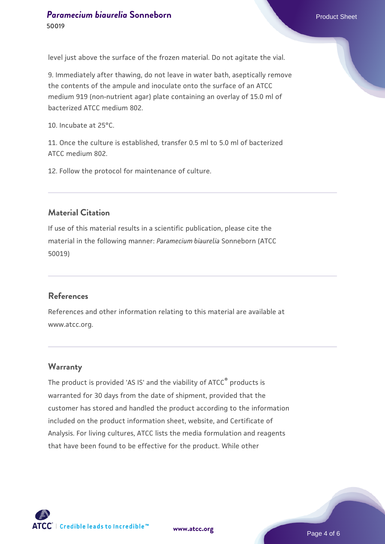level just above the surface of the frozen material. Do not agitate the vial.

9. Immediately after thawing, do not leave in water bath, aseptically remove the contents of the ampule and inoculate onto the surface of an ATCC medium 919 (non-nutrient agar) plate containing an overlay of 15.0 ml of bacterized ATCC medium 802.

10. Incubate at 25°C.

11. Once the culture is established, transfer 0.5 ml to 5.0 ml of bacterized ATCC medium 802.

12. Follow the protocol for maintenance of culture.

#### **Material Citation**

If use of this material results in a scientific publication, please cite the material in the following manner: *Paramecium biaurelia* Sonneborn (ATCC 50019)

#### **References**

References and other information relating to this material are available at www.atcc.org.

#### **Warranty**

The product is provided 'AS IS' and the viability of ATCC® products is warranted for 30 days from the date of shipment, provided that the customer has stored and handled the product according to the information included on the product information sheet, website, and Certificate of Analysis. For living cultures, ATCC lists the media formulation and reagents that have been found to be effective for the product. While other

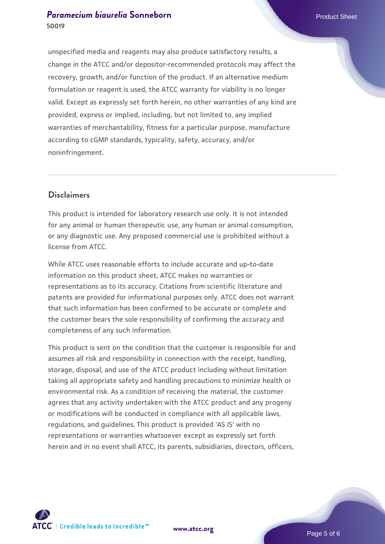unspecified media and reagents may also produce satisfactory results, a change in the ATCC and/or depositor-recommended protocols may affect the recovery, growth, and/or function of the product. If an alternative medium formulation or reagent is used, the ATCC warranty for viability is no longer valid. Except as expressly set forth herein, no other warranties of any kind are provided, express or implied, including, but not limited to, any implied warranties of merchantability, fitness for a particular purpose, manufacture according to cGMP standards, typicality, safety, accuracy, and/or noninfringement.

#### **Disclaimers**

This product is intended for laboratory research use only. It is not intended for any animal or human therapeutic use, any human or animal consumption, or any diagnostic use. Any proposed commercial use is prohibited without a license from ATCC.

While ATCC uses reasonable efforts to include accurate and up-to-date information on this product sheet, ATCC makes no warranties or representations as to its accuracy. Citations from scientific literature and patents are provided for informational purposes only. ATCC does not warrant that such information has been confirmed to be accurate or complete and the customer bears the sole responsibility of confirming the accuracy and completeness of any such information.

This product is sent on the condition that the customer is responsible for and assumes all risk and responsibility in connection with the receipt, handling, storage, disposal, and use of the ATCC product including without limitation taking all appropriate safety and handling precautions to minimize health or environmental risk. As a condition of receiving the material, the customer agrees that any activity undertaken with the ATCC product and any progeny or modifications will be conducted in compliance with all applicable laws, regulations, and guidelines. This product is provided 'AS IS' with no representations or warranties whatsoever except as expressly set forth herein and in no event shall ATCC, its parents, subsidiaries, directors, officers,





Page 5 of 6